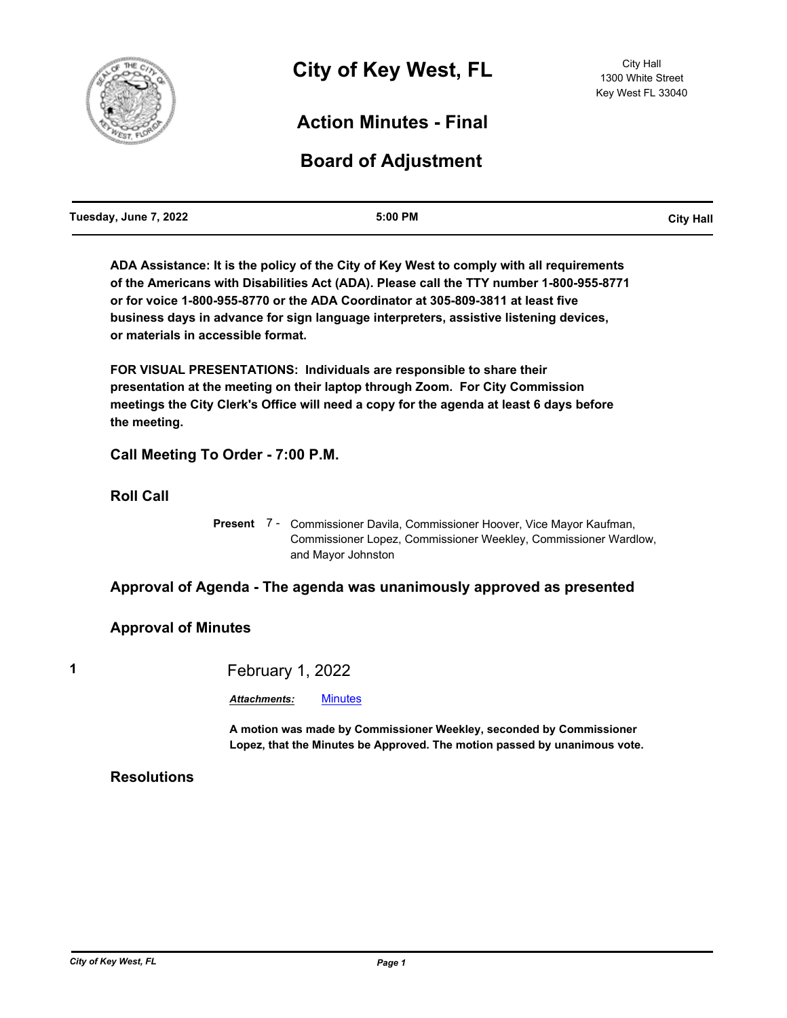

## **Action Minutes - Final**

# **Board of Adjustment**

**ADA Assistance: It is the policy of the City of Key West to comply with all requirements of the Americans with Disabilities Act (ADA). Please call the TTY number 1-800-955-8771 or for voice 1-800-955-8770 or the ADA Coordinator at 305-809-3811 at least five business days in advance for sign language interpreters, assistive listening devices, or materials in accessible format.**

**FOR VISUAL PRESENTATIONS: Individuals are responsible to share their presentation at the meeting on their laptop through Zoom. For City Commission meetings the City Clerk's Office will need a copy for the agenda at least 6 days before the meeting.**

**Call Meeting To Order - 7:00 P.M.**

**Roll Call**

Present 7 - Commissioner Davila, Commissioner Hoover, Vice Mayor Kaufman, Commissioner Lopez, Commissioner Weekley, Commissioner Wardlow, and Mayor Johnston

### **Approval of Agenda - The agenda was unanimously approved as presented**

#### **Approval of Minutes**

**1** February 1, 2022

*Attachments:* [Minutes](http://KeyWest.legistar.com/gateway.aspx?M=F&ID=9ff4f00d-803d-421d-9681-c4a842771f86.pdf)

**A motion was made by Commissioner Weekley, seconded by Commissioner Lopez, that the Minutes be Approved. The motion passed by unanimous vote.**

### **Resolutions**